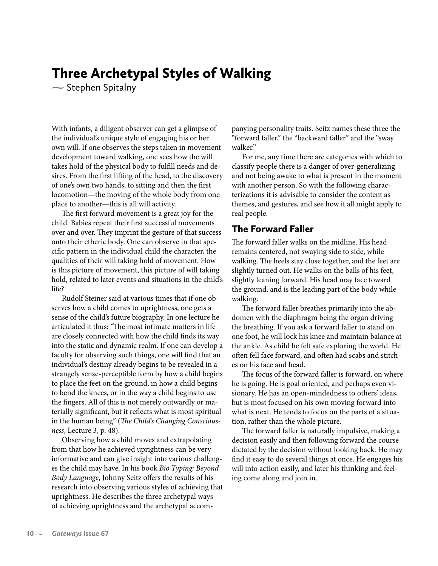# Three Archetypal Styles of Walking

**-** Stephen Spitalny

With infants, a diligent observer can get a glimpse of the individual's unique style of engaging his or her own will. If one observes the steps taken in movement development toward walking, one sees how the will takes hold of the physical body to fulfill needs and desires. From the first lifting of the head, to the discovery of one's own two hands, to sitting and then the first locomotion—the moving of the whole body from one place to another—this is all will activity.

The first forward movement is a great joy for the child. Babies repeat their first successful movements over and over. They imprint the gesture of that success onto their etheric body. One can observe in that specific pattern in the individual child the character, the qualities of their will taking hold of movement. How is this picture of movement, this picture of will taking hold, related to later events and situations in the child's life?

Rudolf Steiner said at various times that if one observes how a child comes to uprightness, one gets a sense of the child's future biography. In one lecture he articulated it thus: *"*The most intimate matters in life are closely connected with how the child finds its way into the static and dynamic realm. If one can develop a faculty for observing such things, one will find that an individual's destiny already begins to be revealed in a strangely sense-perceptible form by how a child begins to place the feet on the ground, in how a child begins to bend the knees, or in the way a child begins to use the fingers. All of this is not merely outwardly or materially significant, but it reflects what is most spiritual in the human being" (*The Child's Changing Consciousness*, Lecture 3, p. 48).

Observing how a child moves and extrapolating from that how he achieved uprightness can be very informative and can give insight into various challenges the child may have. In his book *Bio Typing: Beyond Body Language*, Johnny Seitz offers the results of his research into observing various styles of achieving that uprightness. He describes the three archetypal ways of achieving uprightness and the archetypal accompanying personality traits. Seitz names these three the "forward faller," the "backward faller" and the "sway walker."

For me, any time there are categories with which to classify people there is a danger of over-generalizing and not being awake to what is present in the moment with another person. So with the following characterizations it is advisable to consider the content as themes, and gestures, and see how it all might apply to real people.

#### The Forward Faller

The forward faller walks on the midline. His head remains centered, not swaying side to side, while walking. The heels stay close together, and the feet are slightly turned out. He walks on the balls of his feet, slightly leaning forward. His head may face toward the ground, and is the leading part of the body while walking.

The forward faller breathes primarily into the abdomen with the diaphragm being the organ driving the breathing. If you ask a forward faller to stand on one foot, he will lock his knee and maintain balance at the ankle. As child he felt safe exploring the world. He often fell face forward, and often had scabs and stitches on his face and head.

The focus of the forward faller is forward, on where he is going. He is goal oriented, and perhaps even visionary. He has an open-mindedness to others' ideas, but is most focused on his own moving forward into what is next. He tends to focus on the parts of a situation, rather than the whole picture.

The forward faller is naturally impulsive, making a decision easily and then following forward the course dictated by the decision without looking back. He may find it easy to do several things at once. He engages his will into action easily, and later his thinking and feeling come along and join in.